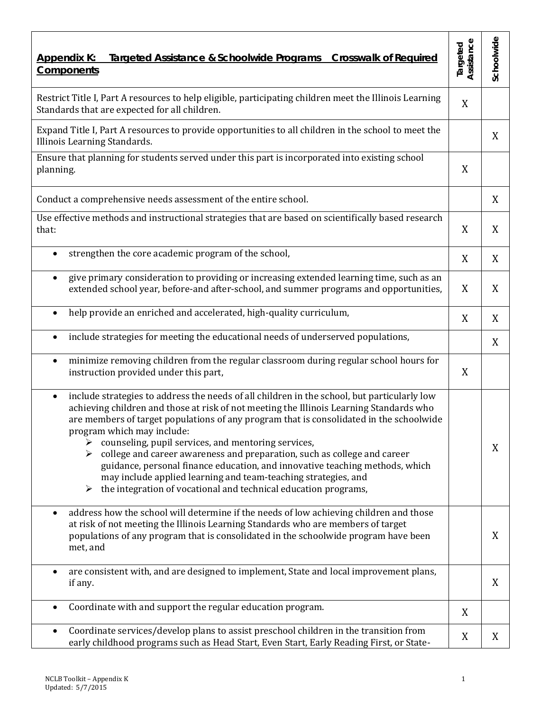| Targeted Assistance & Schoolwide Programs  Crosswalk of Required<br><b>Appendix K:</b><br><b>Components</b>                                                                                                                                                                                                                                                                                                                                                                                                                                                                                                                                                                                                     | Assistance<br>Targeted | Schoolwide |
|-----------------------------------------------------------------------------------------------------------------------------------------------------------------------------------------------------------------------------------------------------------------------------------------------------------------------------------------------------------------------------------------------------------------------------------------------------------------------------------------------------------------------------------------------------------------------------------------------------------------------------------------------------------------------------------------------------------------|------------------------|------------|
| Restrict Title I, Part A resources to help eligible, participating children meet the Illinois Learning<br>Standards that are expected for all children.                                                                                                                                                                                                                                                                                                                                                                                                                                                                                                                                                         | X                      |            |
| Expand Title I, Part A resources to provide opportunities to all children in the school to meet the<br>Illinois Learning Standards.                                                                                                                                                                                                                                                                                                                                                                                                                                                                                                                                                                             |                        | X          |
| Ensure that planning for students served under this part is incorporated into existing school<br>planning.                                                                                                                                                                                                                                                                                                                                                                                                                                                                                                                                                                                                      | X                      |            |
| Conduct a comprehensive needs assessment of the entire school.                                                                                                                                                                                                                                                                                                                                                                                                                                                                                                                                                                                                                                                  |                        | X          |
| Use effective methods and instructional strategies that are based on scientifically based research<br>that:                                                                                                                                                                                                                                                                                                                                                                                                                                                                                                                                                                                                     | X                      | X          |
| strengthen the core academic program of the school,                                                                                                                                                                                                                                                                                                                                                                                                                                                                                                                                                                                                                                                             | X                      | X          |
| give primary consideration to providing or increasing extended learning time, such as an<br>$\bullet$<br>extended school year, before-and after-school, and summer programs and opportunities,                                                                                                                                                                                                                                                                                                                                                                                                                                                                                                                  | X                      | X          |
| help provide an enriched and accelerated, high-quality curriculum,<br>$\bullet$                                                                                                                                                                                                                                                                                                                                                                                                                                                                                                                                                                                                                                 | X                      | X          |
| include strategies for meeting the educational needs of underserved populations,<br>$\bullet$                                                                                                                                                                                                                                                                                                                                                                                                                                                                                                                                                                                                                   |                        | X          |
| minimize removing children from the regular classroom during regular school hours for<br>$\bullet$<br>instruction provided under this part,                                                                                                                                                                                                                                                                                                                                                                                                                                                                                                                                                                     | X                      |            |
| include strategies to address the needs of all children in the school, but particularly low<br>$\bullet$<br>achieving children and those at risk of not meeting the Illinois Learning Standards who<br>are members of target populations of any program that is consolidated in the schoolwide<br>program which may include:<br>$\triangleright$ counseling, pupil services, and mentoring services,<br>college and career awareness and preparation, such as college and career<br>➤<br>guidance, personal finance education, and innovative teaching methods, which<br>may include applied learning and team-teaching strategies, and<br>the integration of vocational and technical education programs,<br>➤ |                        | X          |
| address how the school will determine if the needs of low achieving children and those<br>$\bullet$<br>at risk of not meeting the Illinois Learning Standards who are members of target<br>populations of any program that is consolidated in the schoolwide program have been<br>met, and                                                                                                                                                                                                                                                                                                                                                                                                                      |                        | X          |
| are consistent with, and are designed to implement, State and local improvement plans,<br>if any.                                                                                                                                                                                                                                                                                                                                                                                                                                                                                                                                                                                                               |                        | X          |
| Coordinate with and support the regular education program.                                                                                                                                                                                                                                                                                                                                                                                                                                                                                                                                                                                                                                                      | X                      |            |
| Coordinate services/develop plans to assist preschool children in the transition from<br>early childhood programs such as Head Start, Even Start, Early Reading First, or State-                                                                                                                                                                                                                                                                                                                                                                                                                                                                                                                                | X                      | X          |